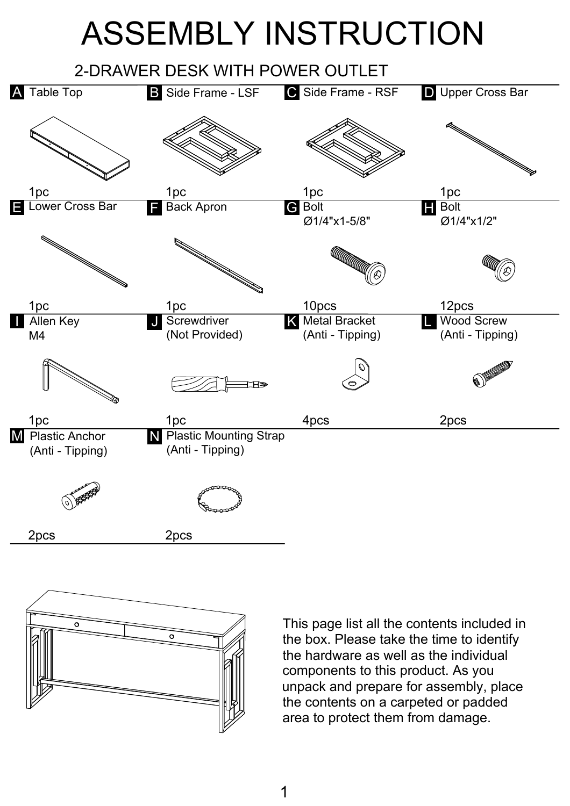## ASSEMBLY INSTRUCTION





This page list all the contents included in the box. Please take the time to identify the hardware as well as the individual components to this product. As you unpack and prepare for assembly, place the contents on a carpeted or padded area to protect them from damage.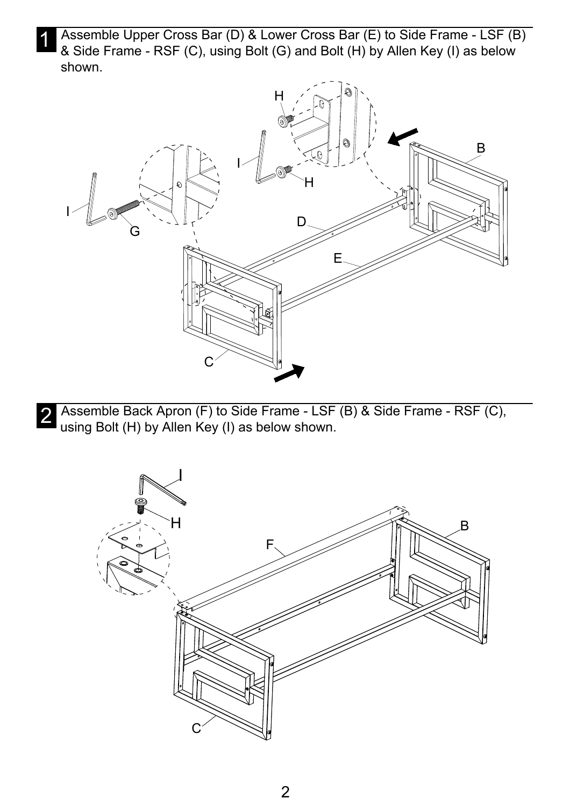1 Assemble Upper Cross Bar (D) & Lower Cross Bar (E) to Side Frame - LSF (B) & Side Frame - RSF (C), using Bolt (G) and Bolt (H) by Allen Key (I) as below shown.



2 Assemble Back Apron (F) to Side Frame - LSF (B) & Side Frame - RSF (C),<br>Lising Bolt (H) by Allen Key (I) as below shown using Bolt (H) by Allen Key (I) as below shown.

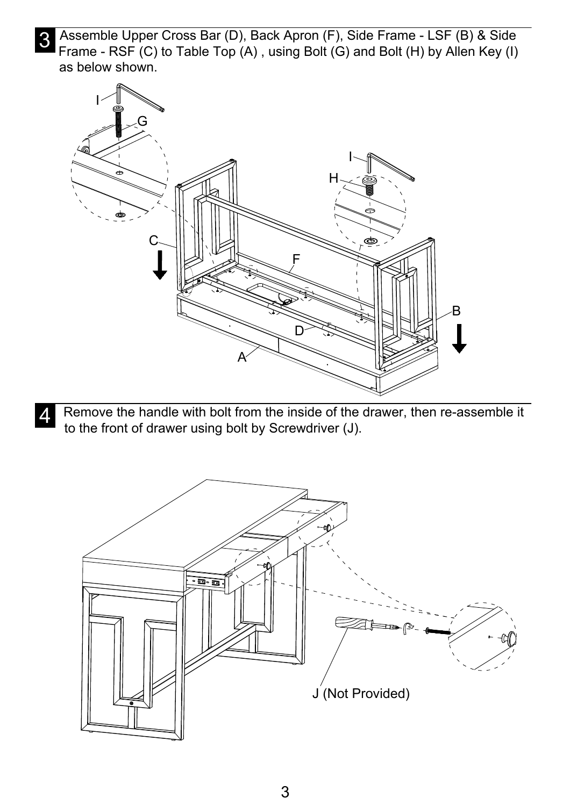3 Assemble Upper Cross Bar (D), Back Apron (F), Side Frame - LSF (B) & Side<br>Erame RSE (C) to Table Top (A) using Bolt (G) and Bolt (H) by Allen Key (I) Frame - RSF (C) to Table Top (A), using Bolt (G) and Bolt (H) by Allen Key (I) as below shown.



 $\overline{A}$  Remove the handle with bolt from the inside of the drawer, then re-assemble it<br>I to the front of drawer using bolt by Serowdriver (1) to the front of drawer using bolt by Screwdriver (J).